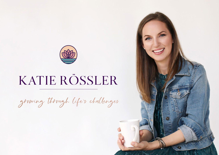

# KATIE RÖSSLER

growing through life's challenges

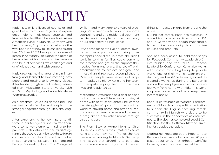### BIOGRAPHY

Katie Rössler is a licensed counselor and grief healer with over 12 years of experience helping individuals, couples, and families live healthier, happier lives. As an American living in Munich, Germany with her husband, 2 girls, and a baby on the way, Katie is not new to life challenges and loss. 2018 and 2019 brought on a series of losses in her family, including the death of her mother without warning. Her mission is to help others face life's challenges and grief without fear and with support.

Katie grew up moving around in a military family and learned to love meeting new people and getting to know new places. After finishing high school, Katie graduated from Mississippi State University with a B.S. in Psychology and a Certificate in Women's Studies.

As a dreamer, Katie's vision was big: She wanted to help families and couples grow stronger together through life's challeng- $AC$ 

After experiencing her own parents' divorce in her teen years, she realized there were some key elements missing to her parents' relationship and her family's dynamic that could easily be taught to future couples and families. This added to her mission to get her Masters in Marriage and Family Counseling from The College of

William and Mary. After two years of studying, Katie went on to work in in-home counseling and at a residential treatment facility until completing her residency hours and achieving her license.

It was time for her to live her dream: owning a private practice and hiring other therapists specialized in areas she didn't work in so that families could come to the practice and get all the support they needed from one place. She set off with determination to achieve her goal, and in less than three years accomplished it. Over 500 people were served in Hampton Roads, Virginia by Katie and her team of therapists helping them improve their lives and relationships.

Motherhood was Katie's next goal, and she took some time off from work to stay at home with her first daughter. She learned the struggles of going from the working world to staying home and after her second daughter knew she needed to create a program to help other moms through this transition.

The From Stay at Home Mom to Chief Household Officer® was created to serve Katie and the new mom friends she had made after moving to Munich, Germany. She realized that struggling to be a stay at home mom was not just an American

thing. It impacted moms from around the world.

During her career, Katie has successfully owned two private practices, in the USA and in Germany and began impacting a larger online community through online courses and products.

She has been asked to hold workshops for Facebook Community Leadership Circles-Munich and the MOPS European Leadership Conference. Katie also works with Boston Consulting Group to provide workshops for their Munich team on productivity and work/life balance, as well as created a workshop during the pandemic on how their employees can work more effectively from home with kids. This workshop was presented online to employees internationally.

Katie is co-founder of Women Entrepreneurs of Munich, a non-profit organization to support the English speaking, female community in Munich who desire to be successful in their endeavors as entrepreneurs. She also has completed Level 2 Certification for the Gottman Method Training for couples therapists.

Getting her message out is important to Katie and she has spoken on over 20 podcasts about grief, motherhood, work/life balance, relationships, and expat life.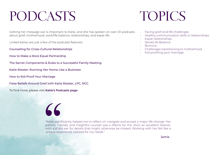# PODCASTS TOPICS

Getting her message out is important to Katie, and she has spoken on over 20 podcasts about grief, motherhood, work/life balance, relationships, and expat life.

Linked below are just a few of the podcasts features:

- [Counseling for Cross-Cultural Relationships](https://podcasts.google.com/feed/aHR0cHM6Ly90aGVleHBhdGNhc3QucG9kYmVhbi5jb20vZmVlZC54bWw/episode/dGhlZXhwYXRjYXN0LnBvZGJlYW4uY29tLzM2ZmI4ZjE5LWU2ZTMtNTU3OS1iODhlLTVlZjJjMmNmNDIxZQ?hl=en-DE&ep=6)
- [How to Make a More Equal Partnership](https://www.mindfulmamamentor.com/blog/how-to-make-a-more-equal-partnership-katie-rossler-210/)
- [The Secret Components & Rules to a Successful Family Meeting](https://parentpumpradio.podbean.com/e/the-secret-components-rules-to-a-successful-family-meeting-show-145/)
- [Katie Rössler: Running Her Home Like a Business](https://momdeconstructed.com/ep49/)
- [How to Kid-Proof Your Marriage](https://podcasts.apple.com/us/podcast/the-raiseology-podcast-with-sharon-somekh-md/id1418671108?i=1000439918954)
- [False Beliefs Around Grief with Katie Rössler, LPC, NCC](https://ginnykrauss.com/47-false-beliefs-around-grief-with-katie-rossler/)

"

To find more, please visit **[Katie's Podcasts page](http://www.katierossler.com/podcasts)**

- Facing grief and life challenges
- Healthy communication skills in relationships
- Expat relationships
- Work/Life Balance
- Burnout
- Challenges transitioning to motherhood
- Kid-proofing your marriage

"Katie significantly helped me to reflect on, navigate and accept a major life change. Her patient, friendly and insightful counsel was a lifeline for me: she's an excellent listener, with a sharp ear for details that might otherwise be missed. Working with her felt like a unique experience, tailored for my needs."

Jamie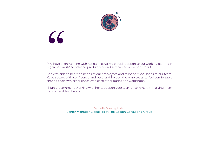

# "

"We have been working with Katie since 2019 to provide support to our working parents in regards to work/life balance, productivity, and self-care to prevent burnout.

She was able to hear the needs of our employees and tailor her workshops to our team. Katie speaks with confidence and ease and helped the employees to feel comfortable sharing their own experiences with each other during the workshops.

I highly recommend working with her to support your team or community in giving them tools to healthier habits."

> Daniella Westephalen Senior Manager Global HR at The Boston Consulting Group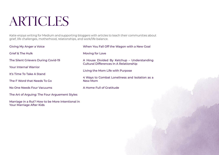# ARTICLES

Katie enjoys writing for Medium and supporting bloggers with articles to teach their communities about grief, life challenges, motherhood, relationships, and work/life balance.

| Giving My Anger a Voice                       | When You Fall Off the Wagon with a New Goal                                                 |
|-----------------------------------------------|---------------------------------------------------------------------------------------------|
| <b>Grief &amp; The Hulk</b>                   | Moving for Love                                                                             |
| The Silent Grievers During Covid-19           | A House Divided By Ketchup - Understanding<br><b>Cultural Differences In A Relationship</b> |
| <b>Your Internal Warrior</b>                  | Living the Mom Life with Purpose                                                            |
| It's Time To Take A Stand                     |                                                                                             |
| The F Word that Needs To Go                   | 4 Ways to Combat Loneliness and Isolation as a<br><b>New Mom</b>                            |
| No One Needs Four Vacuums                     | A Home Full of Gratitude                                                                    |
| The Art of Arguing: The Four Arguement Styles |                                                                                             |

[Marriage in a Rut? How to be More Intentional in](https://positive-connections.com/marriage-in-a-rut-how-to-be-more-intentional-in-your-marriage-after-kids)  [Your Marriage After Kids](https://positive-connections.com/marriage-in-a-rut-how-to-be-more-intentional-in-your-marriage-after-kids)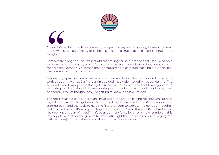

"I found Katie during a dark moment (dark year!) in my life. Struggling to keep my head above water, sad, and feeling lost, she has become a true beacon of light shining out of the gloom.

"I found Katie<br>above water, s<br>the gloom.<br>Somewhere al<br>to figure thing<br>modern day w<br>the burden be Somewhere along the line I was taught that asking for help is taboo, that I should be able to figure things out on my own- after all, isn't that the model of the independent, strong, modern day woman? I've learned that the true strength comes in reaching out when I feel the burden becoming too much.

Meditation, a practice new to me, is one of the many tools Katie has provided to help me work through my grief. During our first guided meditation together- goodness me! The second I closed my eyes the floodgates released. Emotion flowed that I was ignorant of harboring. I still remain a bit in awe- during each meditation with Katie (and, now, independently) I feel as though I am just getting to know- and love- myself.

The most valuable gifts our sessions have given me are the coping mechanisms to help myself. I've realized I've got everything I need, right here inside me. Katie provides the starting point and the tools to help me find the room to express the pent up thoughts, feelings, and needs. It's a very exciting expedition and I'm so thankful Katie has helped me open up this part of myself that's been dormant for so long. It's a major comfort in this journey of exploration and growth to have Katie right there next to me, encouraging me with her non-judgmental, wise, and thoughtful words of wisdom.

**Carrie**